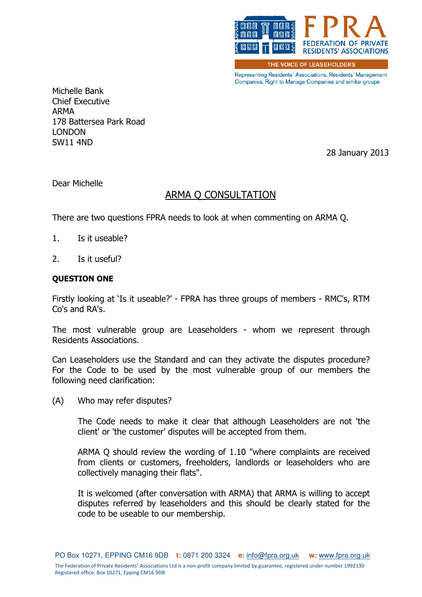

THE VOICE OF LEASEHOLDERS

Representing Residents' Associations, Residents' Management Companies, Right to Manage Companies and similar groups

Michelle Bank Chief Executive ARMA 178 Battersea Park Road LONDON SW11 4ND

28 January 2013

Dear Michelle

# ARMA Q CONSULTATION

There are two questions FPRA needs to look at when commenting on ARMA Q.

- 1. Is it useable?
- 2. Is it useful?

#### QUESTION ONE

Firstly looking at 'Is it useable?' - FPRA has three groups of members - RMC's, RTM Co's and RA's.

The most vulnerable group are Leaseholders - whom we represent through Residents Associations.

Can Leaseholders use the Standard and can they activate the disputes procedure? For the Code to be used by the most vulnerable group of our members the following need clarification:

(A) Who may refer disputes?

The Code needs to make it clear that although Leaseholders are not 'the client' or 'the customer' disputes will be accepted from them.

ARMA Q should review the wording of 1.10 "where complaints are received from clients or customers, freeholders, landlords or leaseholders who are collectively managing their flats".

It is welcomed (after conversation with ARMA) that ARMA is willing to accept disputes referred by leaseholders and this should be clearly stated for the code to be useable to our membership.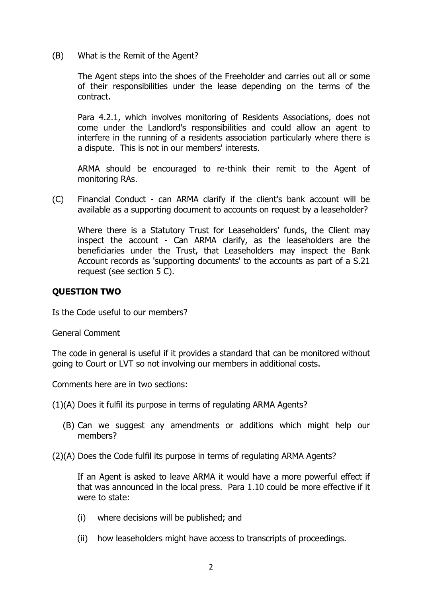(B) What is the Remit of the Agent?

The Agent steps into the shoes of the Freeholder and carries out all or some of their responsibilities under the lease depending on the terms of the contract.

Para 4.2.1, which involves monitoring of Residents Associations, does not come under the Landlord's responsibilities and could allow an agent to interfere in the running of a residents association particularly where there is a dispute. This is not in our members' interests.

ARMA should be encouraged to re-think their remit to the Agent of monitoring RAs.

(C) Financial Conduct - can ARMA clarify if the client's bank account will be available as a supporting document to accounts on request by a leaseholder?

Where there is a Statutory Trust for Leaseholders' funds, the Client may inspect the account - Can ARMA clarify, as the leaseholders are the beneficiaries under the Trust, that Leaseholders may inspect the Bank Account records as 'supporting documents' to the accounts as part of a S.21 request (see section 5 C).

## QUESTION TWO

Is the Code useful to our members?

#### General Comment

The code in general is useful if it provides a standard that can be monitored without going to Court or LVT so not involving our members in additional costs.

Comments here are in two sections:

(1)(A) Does it fulfil its purpose in terms of regulating ARMA Agents?

- (B) Can we suggest any amendments or additions which might help our members?
- (2)(A) Does the Code fulfil its purpose in terms of regulating ARMA Agents?

If an Agent is asked to leave ARMA it would have a more powerful effect if that was announced in the local press. Para 1.10 could be more effective if it were to state:

- (i) where decisions will be published; and
- (ii) how leaseholders might have access to transcripts of proceedings.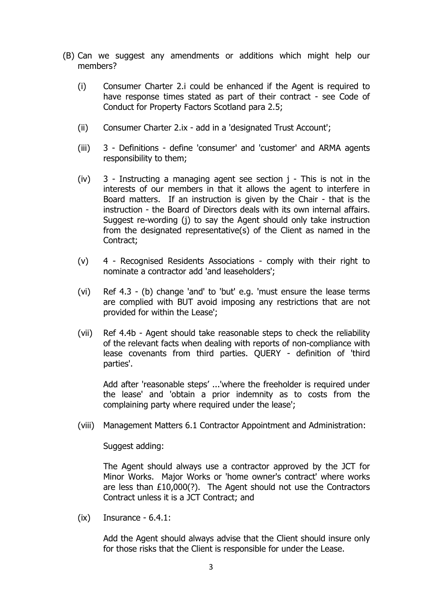- (B) Can we suggest any amendments or additions which might help our members?
	- (i) Consumer Charter 2.i could be enhanced if the Agent is required to have response times stated as part of their contract - see Code of Conduct for Property Factors Scotland para 2.5;
	- (ii) Consumer Charter 2.ix add in a 'designated Trust Account';
	- (iii) 3 Definitions define 'consumer' and 'customer' and ARMA agents responsibility to them;
	- (iv) 3 Instructing a managing agent see section j This is not in the interests of our members in that it allows the agent to interfere in Board matters. If an instruction is given by the Chair - that is the instruction - the Board of Directors deals with its own internal affairs. Suggest re-wording (j) to say the Agent should only take instruction from the designated representative(s) of the Client as named in the Contract;
	- (v) 4 Recognised Residents Associations comply with their right to nominate a contractor add 'and leaseholders';
	- (vi) Ref 4.3 (b) change 'and' to 'but' e.g. 'must ensure the lease terms are complied with BUT avoid imposing any restrictions that are not provided for within the Lease';
	- (vii) Ref 4.4b Agent should take reasonable steps to check the reliability of the relevant facts when dealing with reports of non-compliance with lease covenants from third parties. QUERY - definition of 'third parties'.

Add after 'reasonable steps' ...'where the freeholder is required under the lease' and 'obtain a prior indemnity as to costs from the complaining party where required under the lease';

(viii) Management Matters 6.1 Contractor Appointment and Administration:

Suggest adding:

The Agent should always use a contractor approved by the JCT for Minor Works. Major Works or 'home owner's contract' where works are less than £10,000(?). The Agent should not use the Contractors Contract unless it is a JCT Contract; and

 $(ix)$  Insurance - 6.4.1:

Add the Agent should always advise that the Client should insure only for those risks that the Client is responsible for under the Lease.